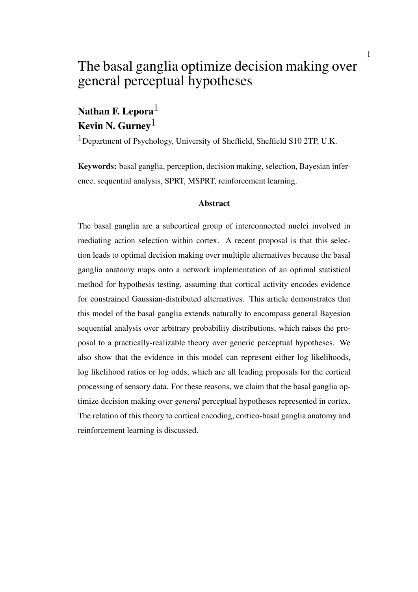# The basal ganglia optimize decision making over general perceptual hypotheses

# Nathan F. Lepora $<sup>1</sup>$ </sup> Kevin N. Gurney<sup>1</sup>

<sup>1</sup>Department of Psychology, University of Sheffield, Sheffield S10 2TP, U.K.

Keywords: basal ganglia, perception, decision making, selection, Bayesian inference, sequential analysis, SPRT, MSPRT, reinforcement learning.

#### Abstract

The basal ganglia are a subcortical group of interconnected nuclei involved in mediating action selection within cortex. A recent proposal is that this selection leads to optimal decision making over multiple alternatives because the basal ganglia anatomy maps onto a network implementation of an optimal statistical method for hypothesis testing, assuming that cortical activity encodes evidence for constrained Gaussian-distributed alternatives. This article demonstrates that this model of the basal ganglia extends naturally to encompass general Bayesian sequential analysis over arbitrary probability distributions, which raises the proposal to a practically-realizable theory over generic perceptual hypotheses. We also show that the evidence in this model can represent either log likelihoods, log likelihood ratios or log odds, which are all leading proposals for the cortical processing of sensory data. For these reasons, we claim that the basal ganglia optimize decision making over *general* perceptual hypotheses represented in cortex. The relation of this theory to cortical encoding, cortico-basal ganglia anatomy and reinforcement learning is discussed.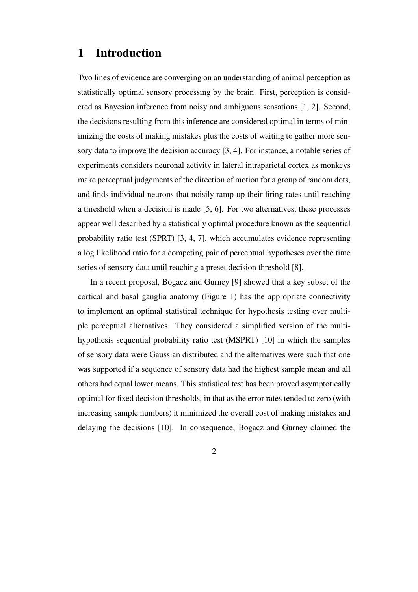# 1 Introduction

Two lines of evidence are converging on an understanding of animal perception as statistically optimal sensory processing by the brain. First, perception is considered as Bayesian inference from noisy and ambiguous sensations [1, 2]. Second, the decisions resulting from this inference are considered optimal in terms of minimizing the costs of making mistakes plus the costs of waiting to gather more sensory data to improve the decision accuracy [3, 4]. For instance, a notable series of experiments considers neuronal activity in lateral intraparietal cortex as monkeys make perceptual judgements of the direction of motion for a group of random dots, and finds individual neurons that noisily ramp-up their firing rates until reaching a threshold when a decision is made [5, 6]. For two alternatives, these processes appear well described by a statistically optimal procedure known as the sequential probability ratio test (SPRT) [3, 4, 7], which accumulates evidence representing a log likelihood ratio for a competing pair of perceptual hypotheses over the time series of sensory data until reaching a preset decision threshold [8].

In a recent proposal, Bogacz and Gurney [9] showed that a key subset of the cortical and basal ganglia anatomy (Figure 1) has the appropriate connectivity to implement an optimal statistical technique for hypothesis testing over multiple perceptual alternatives. They considered a simplified version of the multihypothesis sequential probability ratio test (MSPRT) [10] in which the samples of sensory data were Gaussian distributed and the alternatives were such that one was supported if a sequence of sensory data had the highest sample mean and all others had equal lower means. This statistical test has been proved asymptotically optimal for fixed decision thresholds, in that as the error rates tended to zero (with increasing sample numbers) it minimized the overall cost of making mistakes and delaying the decisions [10]. In consequence, Bogacz and Gurney claimed the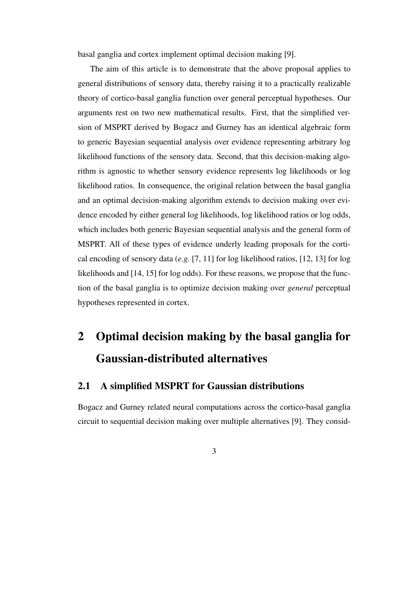basal ganglia and cortex implement optimal decision making [9].

The aim of this article is to demonstrate that the above proposal applies to general distributions of sensory data, thereby raising it to a practically realizable theory of cortico-basal ganglia function over general perceptual hypotheses. Our arguments rest on two new mathematical results. First, that the simplified version of MSPRT derived by Bogacz and Gurney has an identical algebraic form to generic Bayesian sequential analysis over evidence representing arbitrary log likelihood functions of the sensory data. Second, that this decision-making algorithm is agnostic to whether sensory evidence represents log likelihoods or log likelihood ratios. In consequence, the original relation between the basal ganglia and an optimal decision-making algorithm extends to decision making over evidence encoded by either general log likelihoods, log likelihood ratios or log odds, which includes both generic Bayesian sequential analysis and the general form of MSPRT. All of these types of evidence underly leading proposals for the cortical encoding of sensory data (*e.g.* [7, 11] for log likelihood ratios, [12, 13] for log likelihoods and [14, 15] for log odds). For these reasons, we propose that the function of the basal ganglia is to optimize decision making over *general* perceptual hypotheses represented in cortex.

# 2 Optimal decision making by the basal ganglia for Gaussian-distributed alternatives

# 2.1 A simplified MSPRT for Gaussian distributions

Bogacz and Gurney related neural computations across the cortico-basal ganglia circuit to sequential decision making over multiple alternatives [9]. They consid-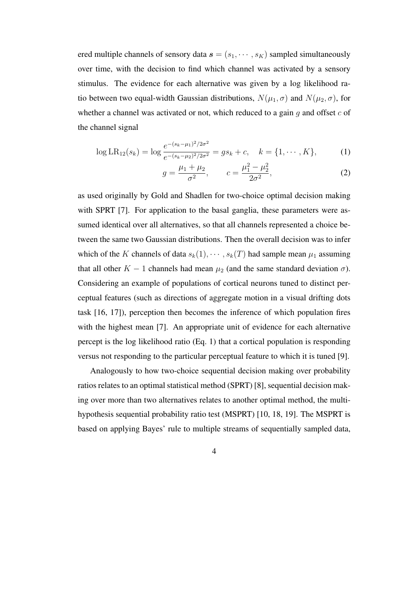ered multiple channels of sensory data  $\mathbf{s} = (s_1, \dots, s_K)$  sampled simultaneously over time, with the decision to find which channel was activated by a sensory stimulus. The evidence for each alternative was given by a log likelihood ratio between two equal-width Gaussian distributions,  $N(\mu_1, \sigma)$  and  $N(\mu_2, \sigma)$ , for whether a channel was activated or not, which reduced to a gain *g* and offset *c* of the channel signal

$$
\log LR_{12}(s_k) = \log \frac{e^{-(s_k - \mu_1)^2/2\sigma^2}}{e^{-(s_k - \mu_2)^2/2\sigma^2}} = gs_k + c, \quad k = \{1, \cdots, K\},\tag{1}
$$

$$
g = \frac{\mu_1 + \mu_2}{\sigma^2}, \qquad c = \frac{\mu_1^2 - \mu_2^2}{2\sigma^2}, \tag{2}
$$

as used originally by Gold and Shadlen for two-choice optimal decision making with SPRT [7]. For application to the basal ganglia, these parameters were assumed identical over all alternatives, so that all channels represented a choice between the same two Gaussian distributions. Then the overall decision was to infer which of the *K* channels of data  $s_k(1), \cdots, s_k(T)$  had sample mean  $\mu_1$  assuming that all other  $K - 1$  channels had mean  $\mu_2$  (and the same standard deviation *σ*). Considering an example of populations of cortical neurons tuned to distinct perceptual features (such as directions of aggregate motion in a visual drifting dots task [16, 17]), perception then becomes the inference of which population fires with the highest mean [7]. An appropriate unit of evidence for each alternative percept is the log likelihood ratio (Eq. 1) that a cortical population is responding versus not responding to the particular perceptual feature to which it is tuned [9].

Analogously to how two-choice sequential decision making over probability ratios relates to an optimal statistical method (SPRT) [8], sequential decision making over more than two alternatives relates to another optimal method, the multihypothesis sequential probability ratio test (MSPRT) [10, 18, 19]. The MSPRT is based on applying Bayes' rule to multiple streams of sequentially sampled data,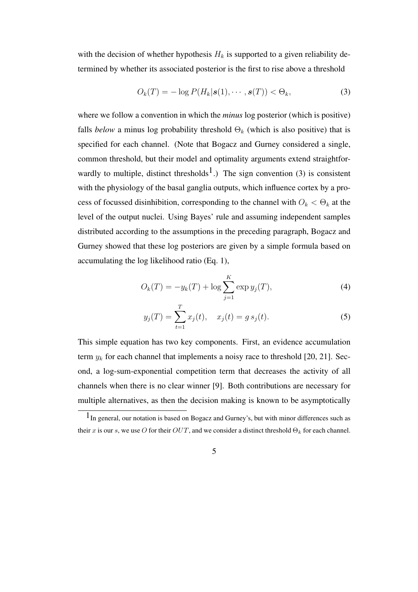with the decision of whether hypothesis  $H_k$  is supported to a given reliability determined by whether its associated posterior is the first to rise above a threshold

$$
O_k(T) = -\log P(H_k | \mathbf{s}(1), \cdots, \mathbf{s}(T)) < \Theta_k,
$$
\n(3)

where we follow a convention in which the *minus* log posterior (which is positive) falls *below* a minus log probability threshold  $\Theta_k$  (which is also positive) that is specified for each channel. (Note that Bogacz and Gurney considered a single, common threshold, but their model and optimality arguments extend straightforwardly to multiple, distinct thresholds<sup>1</sup>.) The sign convention (3) is consistent with the physiology of the basal ganglia outputs, which influence cortex by a process of focussed disinhibition, corresponding to the channel with  $O_k < \Theta_k$  at the level of the output nuclei. Using Bayes' rule and assuming independent samples distributed according to the assumptions in the preceding paragraph, Bogacz and Gurney showed that these log posteriors are given by a simple formula based on accumulating the log likelihood ratio (Eq. 1),

$$
O_k(T) = -y_k(T) + \log \sum_{j=1}^{K} \exp y_j(T),
$$
\n(4)

$$
y_j(T) = \sum_{t=1}^T x_j(t), \quad x_j(t) = g s_j(t).
$$
 (5)

This simple equation has two key components. First, an evidence accumulation term *y<sup>k</sup>* for each channel that implements a noisy race to threshold [20, 21]. Second, a log-sum-exponential competition term that decreases the activity of all channels when there is no clear winner [9]. Both contributions are necessary for multiple alternatives, as then the decision making is known to be asymptotically

 $1<sub>In general</sub>$ , our notation is based on Bogacz and Gurney's, but with minor differences such as their *x* is our *s*, we use *O* for their *OUT*, and we consider a distinct threshold  $\Theta_k$  for each channel.

<sup>5</sup>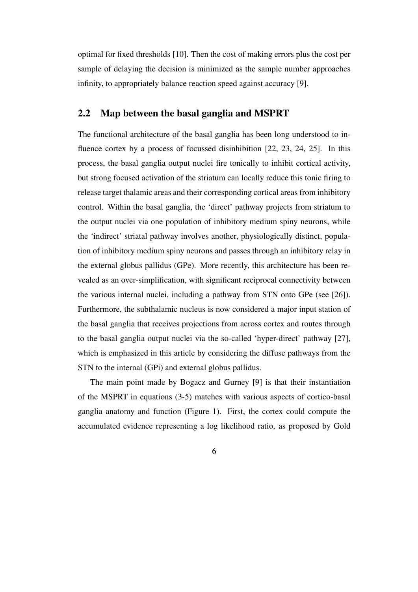optimal for fixed thresholds [10]. Then the cost of making errors plus the cost per sample of delaying the decision is minimized as the sample number approaches infinity, to appropriately balance reaction speed against accuracy [9].

## 2.2 Map between the basal ganglia and MSPRT

The functional architecture of the basal ganglia has been long understood to influence cortex by a process of focussed disinhibition [22, 23, 24, 25]. In this process, the basal ganglia output nuclei fire tonically to inhibit cortical activity, but strong focused activation of the striatum can locally reduce this tonic firing to release target thalamic areas and their corresponding cortical areas from inhibitory control. Within the basal ganglia, the 'direct' pathway projects from striatum to the output nuclei via one population of inhibitory medium spiny neurons, while the 'indirect' striatal pathway involves another, physiologically distinct, population of inhibitory medium spiny neurons and passes through an inhibitory relay in the external globus pallidus (GPe). More recently, this architecture has been revealed as an over-simplification, with significant reciprocal connectivity between the various internal nuclei, including a pathway from STN onto GPe (see [26]). Furthermore, the subthalamic nucleus is now considered a major input station of the basal ganglia that receives projections from across cortex and routes through to the basal ganglia output nuclei via the so-called 'hyper-direct' pathway [27], which is emphasized in this article by considering the diffuse pathways from the STN to the internal (GPi) and external globus pallidus.

The main point made by Bogacz and Gurney [9] is that their instantiation of the MSPRT in equations (3-5) matches with various aspects of cortico-basal ganglia anatomy and function (Figure 1). First, the cortex could compute the accumulated evidence representing a log likelihood ratio, as proposed by Gold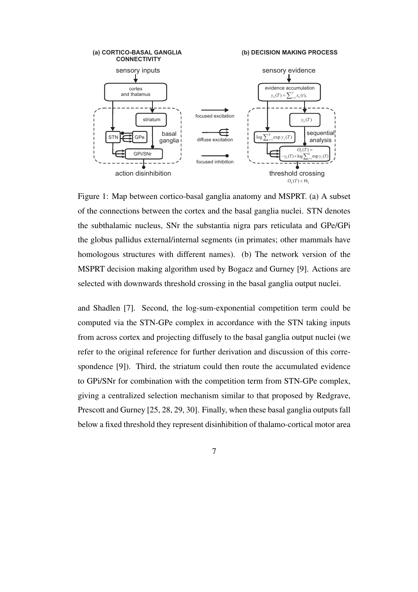

Figure 1: Map between cortico-basal ganglia anatomy and MSPRT. (a) A subset of the connections between the cortex and the basal ganglia nuclei. STN denotes the subthalamic nucleus, SNr the substantia nigra pars reticulata and GPe/GPi the globus pallidus external/internal segments (in primates; other mammals have homologous structures with different names). (b) The network version of the MSPRT decision making algorithm used by Bogacz and Gurney [9]. Actions are selected with downwards threshold crossing in the basal ganglia output nuclei.

and Shadlen [7]. Second, the log-sum-exponential competition term could be computed via the STN-GPe complex in accordance with the STN taking inputs from across cortex and projecting diffusely to the basal ganglia output nuclei (we refer to the original reference for further derivation and discussion of this correspondence [9]). Third, the striatum could then route the accumulated evidence to GPi/SNr for combination with the competition term from STN-GPe complex, giving a centralized selection mechanism similar to that proposed by Redgrave, Prescott and Gurney [25, 28, 29, 30]. Finally, when these basal ganglia outputs fall below a fixed threshold they represent disinhibition of thalamo-cortical motor area

7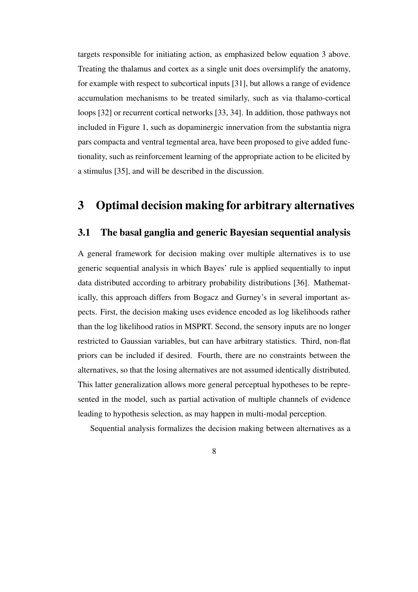targets responsible for initiating action, as emphasized below equation 3 above. Treating the thalamus and cortex as a single unit does oversimplify the anatomy, for example with respect to subcortical inputs [31], but allows a range of evidence accumulation mechanisms to be treated similarly, such as via thalamo-cortical loops [32] or recurrent cortical networks [33, 34]. In addition, those pathways not included in Figure 1, such as dopaminergic innervation from the substantia nigra pars compacta and ventral tegmental area, have been proposed to give added functionality, such as reinforcement learning of the appropriate action to be elicited by a stimulus [35], and will be described in the discussion.

# 3 Optimal decision making for arbitrary alternatives

## 3.1 The basal ganglia and generic Bayesian sequential analysis

A general framework for decision making over multiple alternatives is to use generic sequential analysis in which Bayes' rule is applied sequentially to input data distributed according to arbitrary probability distributions [36]. Mathematically, this approach differs from Bogacz and Gurney's in several important aspects. First, the decision making uses evidence encoded as log likelihoods rather than the log likelihood ratios in MSPRT. Second, the sensory inputs are no longer restricted to Gaussian variables, but can have arbitrary statistics. Third, non-flat priors can be included if desired. Fourth, there are no constraints between the alternatives, so that the losing alternatives are not assumed identically distributed. This latter generalization allows more general perceptual hypotheses to be represented in the model, such as partial activation of multiple channels of evidence leading to hypothesis selection, as may happen in multi-modal perception.

Sequential analysis formalizes the decision making between alternatives as a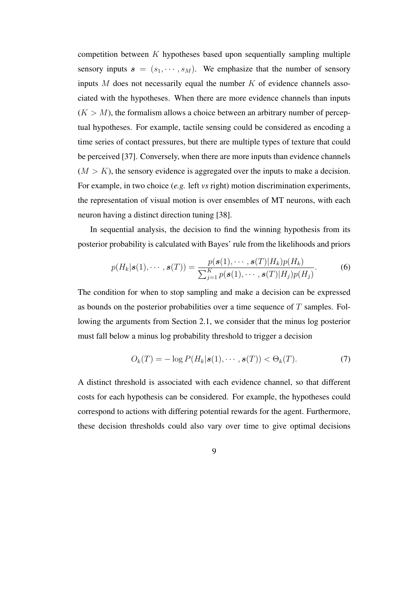competition between *K* hypotheses based upon sequentially sampling multiple sensory inputs  $s = (s_1, \dots, s_M)$ . We emphasize that the number of sensory inputs *M* does not necessarily equal the number *K* of evidence channels associated with the hypotheses. When there are more evidence channels than inputs  $(K > M)$ , the formalism allows a choice between an arbitrary number of perceptual hypotheses. For example, tactile sensing could be considered as encoding a time series of contact pressures, but there are multiple types of texture that could be perceived [37]. Conversely, when there are more inputs than evidence channels  $(M > K)$ , the sensory evidence is aggregated over the inputs to make a decision. For example, in two choice (*e.g.* left *vs* right) motion discrimination experiments, the representation of visual motion is over ensembles of MT neurons, with each neuron having a distinct direction tuning [38].

In sequential analysis, the decision to find the winning hypothesis from its posterior probability is calculated with Bayes' rule from the likelihoods and priors

$$
p(H_k|\mathbf{s}(1),\cdots,\mathbf{s}(T)) = \frac{p(\mathbf{s}(1),\cdots,\mathbf{s}(T)|H_k)p(H_k)}{\sum_{j=1}^K p(\mathbf{s}(1),\cdots,\mathbf{s}(T)|H_j)p(H_j)}.
$$
(6)

The condition for when to stop sampling and make a decision can be expressed as bounds on the posterior probabilities over a time sequence of *T* samples. Following the arguments from Section 2.1, we consider that the minus log posterior must fall below a minus log probability threshold to trigger a decision

$$
O_k(T) = -\log P(H_k|\mathbf{s}(1), \cdots, \mathbf{s}(T)) < \Theta_k(T). \tag{7}
$$

A distinct threshold is associated with each evidence channel, so that different costs for each hypothesis can be considered. For example, the hypotheses could correspond to actions with differing potential rewards for the agent. Furthermore, these decision thresholds could also vary over time to give optimal decisions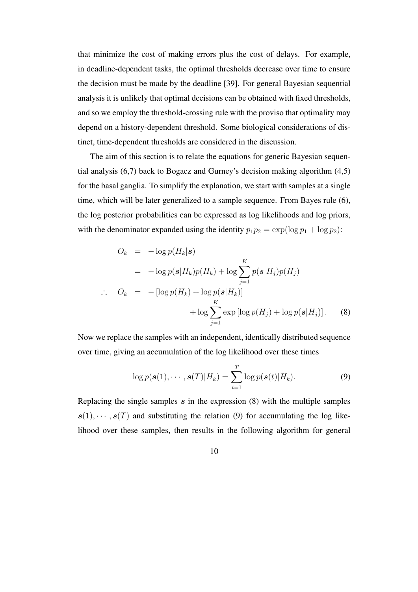that minimize the cost of making errors plus the cost of delays. For example, in deadline-dependent tasks, the optimal thresholds decrease over time to ensure the decision must be made by the deadline [39]. For general Bayesian sequential analysis it is unlikely that optimal decisions can be obtained with fixed thresholds, and so we employ the threshold-crossing rule with the proviso that optimality may depend on a history-dependent threshold. Some biological considerations of distinct, time-dependent thresholds are considered in the discussion.

The aim of this section is to relate the equations for generic Bayesian sequential analysis (6,7) back to Bogacz and Gurney's decision making algorithm (4,5) for the basal ganglia. To simplify the explanation, we start with samples at a single time, which will be later generalized to a sample sequence. From Bayes rule (6), the log posterior probabilities can be expressed as log likelihoods and log priors, with the denominator expanded using the identity  $p_1p_2 = \exp(\log p_1 + \log p_2)$ :

$$
O_k = -\log p(H_k|\mathbf{s})
$$
  
=  $-\log p(\mathbf{s}|H_k)p(H_k) + \log \sum_{j=1}^K p(\mathbf{s}|H_j)p(H_j)$   

$$
\therefore O_k = -[\log p(H_k) + \log p(\mathbf{s}|H_k)] + \log \sum_{j=1}^K \exp[\log p(H_j) + \log p(\mathbf{s}|H_j)].
$$
 (8)

Now we replace the samples with an independent, identically distributed sequence over time, giving an accumulation of the log likelihood over these times

$$
\log p(\boldsymbol{s}(1), \cdots, \boldsymbol{s}(T)|H_k) = \sum_{t=1}^T \log p(\boldsymbol{s}(t)|H_k).
$$
 (9)

Replacing the single samples *s* in the expression (8) with the multiple samples  $s(1), \dots, s(T)$  and substituting the relation (9) for accumulating the log likelihood over these samples, then results in the following algorithm for general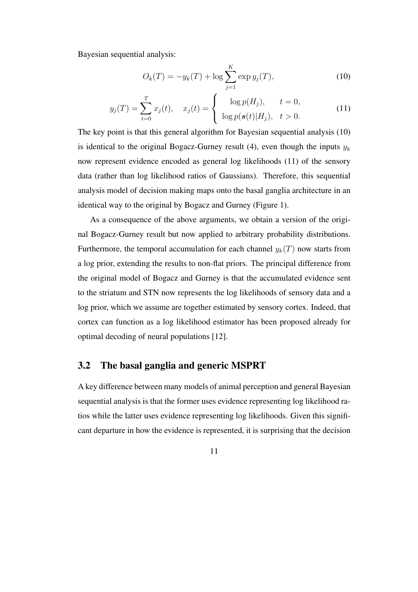Bayesian sequential analysis:

$$
O_k(T) = -y_k(T) + \log \sum_{j=1}^{K} \exp y_j(T), \qquad (10)
$$

$$
y_j(T) = \sum_{t=0}^T x_j(t), \quad x_j(t) = \begin{cases} \log p(H_j), & t = 0, \\ \log p(s(t)|H_j), & t > 0. \end{cases}
$$
(11)

The key point is that this general algorithm for Bayesian sequential analysis (10) is identical to the original Bogacz-Gurney result  $(4)$ , even though the inputs  $y_k$ now represent evidence encoded as general log likelihoods (11) of the sensory data (rather than log likelihood ratios of Gaussians). Therefore, this sequential analysis model of decision making maps onto the basal ganglia architecture in an identical way to the original by Bogacz and Gurney (Figure 1).

As a consequence of the above arguments, we obtain a version of the original Bogacz-Gurney result but now applied to arbitrary probability distributions. Furthermore, the temporal accumulation for each channel  $y_k(T)$  now starts from a log prior, extending the results to non-flat priors. The principal difference from the original model of Bogacz and Gurney is that the accumulated evidence sent to the striatum and STN now represents the log likelihoods of sensory data and a log prior, which we assume are together estimated by sensory cortex. Indeed, that cortex can function as a log likelihood estimator has been proposed already for optimal decoding of neural populations [12].

## 3.2 The basal ganglia and generic MSPRT

A key difference between many models of animal perception and general Bayesian sequential analysis is that the former uses evidence representing log likelihood ratios while the latter uses evidence representing log likelihoods. Given this significant departure in how the evidence is represented, it is surprising that the decision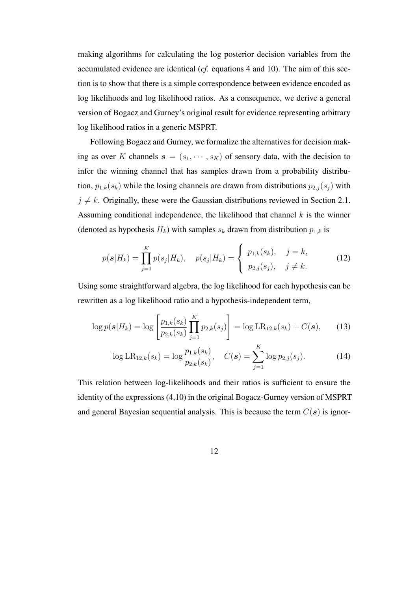making algorithms for calculating the log posterior decision variables from the accumulated evidence are identical (*cf.* equations 4 and 10). The aim of this section is to show that there is a simple correspondence between evidence encoded as log likelihoods and log likelihood ratios. As a consequence, we derive a general version of Bogacz and Gurney's original result for evidence representing arbitrary log likelihood ratios in a generic MSPRT.

Following Bogacz and Gurney, we formalize the alternatives for decision making as over *K* channels  $\mathbf{s} = (s_1, \dots, s_K)$  of sensory data, with the decision to infer the winning channel that has samples drawn from a probability distribution,  $p_{1,k}(s_k)$  while the losing channels are drawn from distributions  $p_{2,j}(s_j)$  with  $j \neq k$ . Originally, these were the Gaussian distributions reviewed in Section 2.1. Assuming conditional independence, the likelihood that channel *k* is the winner (denoted as hypothesis  $H_k$ ) with samples  $s_k$  drawn from distribution  $p_{1,k}$  is

$$
p(s|H_k) = \prod_{j=1}^{K} p(s_j|H_k), \quad p(s_j|H_k) = \begin{cases} p_{1,k}(s_k), & j=k, \\ p_{2,j}(s_j), & j \neq k. \end{cases}
$$
 (12)

Using some straightforward algebra, the log likelihood for each hypothesis can be rewritten as a log likelihood ratio and a hypothesis-independent term,

$$
\log p(\boldsymbol{s}|H_k) = \log \left[ \frac{p_{1,k}(s_k)}{p_{2,k}(s_k)} \prod_{j=1}^K p_{2,k}(s_j) \right] = \log \text{LR}_{12,k}(s_k) + C(\boldsymbol{s}), \tag{13}
$$

$$
\log LR_{12,k}(s_k) = \log \frac{p_{1,k}(s_k)}{p_{2,k}(s_k)}, \quad C(\mathbf{s}) = \sum_{j=1}^K \log p_{2,j}(s_j). \tag{14}
$$

This relation between log-likelihoods and their ratios is sufficient to ensure the identity of the expressions (4,10) in the original Bogacz-Gurney version of MSPRT and general Bayesian sequential analysis. This is because the term *C*(*s*) is ignor-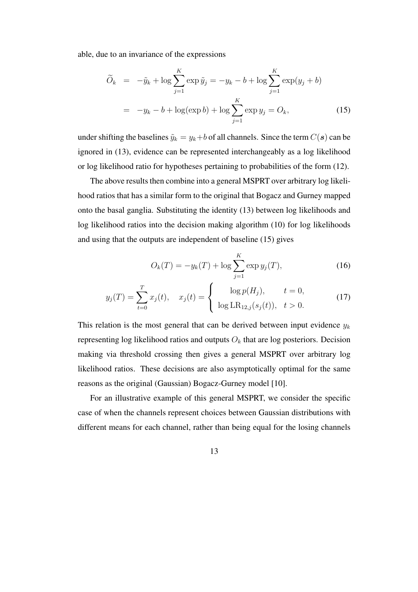able, due to an invariance of the expressions

$$
\widetilde{O}_k = -\widetilde{y}_k + \log \sum_{j=1}^K \exp \widetilde{y}_j = -y_k - b + \log \sum_{j=1}^K \exp(y_j + b)
$$

$$
= -y_k - b + \log(\exp b) + \log \sum_{j=1}^K \exp y_j = O_k, \tag{15}
$$

under shifting the baselines  $\tilde{y}_k = y_k + b$  of all channels. Since the term  $C(s)$  can be ignored in (13), evidence can be represented interchangeably as a log likelihood or log likelihood ratio for hypotheses pertaining to probabilities of the form (12).

The above results then combine into a general MSPRT over arbitrary log likelihood ratios that has a similar form to the original that Bogacz and Gurney mapped onto the basal ganglia. Substituting the identity (13) between log likelihoods and log likelihood ratios into the decision making algorithm (10) for log likelihoods and using that the outputs are independent of baseline (15) gives

$$
O_k(T) = -y_k(T) + \log \sum_{j=1}^{K} \exp y_j(T),
$$
\n(16)

$$
y_j(T) = \sum_{t=0}^T x_j(t), \quad x_j(t) = \begin{cases} \log p(H_j), & t = 0, \\ \log \text{LR}_{12,j}(s_j(t)), & t > 0. \end{cases}
$$
(17)

This relation is the most general that can be derived between input evidence *y<sup>k</sup>* representing log likelihood ratios and outputs *O<sup>k</sup>* that are log posteriors. Decision making via threshold crossing then gives a general MSPRT over arbitrary log likelihood ratios. These decisions are also asymptotically optimal for the same reasons as the original (Gaussian) Bogacz-Gurney model [10].

For an illustrative example of this general MSPRT, we consider the specific case of when the channels represent choices between Gaussian distributions with different means for each channel, rather than being equal for the losing channels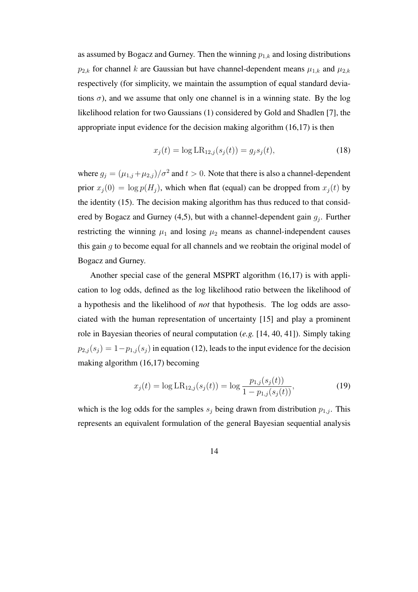as assumed by Bogacz and Gurney. Then the winning *p*1*,k* and losing distributions  $p_{2,k}$  for channel *k* are Gaussian but have channel-dependent means  $\mu_{1,k}$  and  $\mu_{2,k}$ respectively (for simplicity, we maintain the assumption of equal standard deviations  $\sigma$ ), and we assume that only one channel is in a winning state. By the log likelihood relation for two Gaussians (1) considered by Gold and Shadlen [7], the appropriate input evidence for the decision making algorithm (16,17) is then

$$
x_j(t) = \log \text{LR}_{12,j}(s_j(t)) = g_j s_j(t),\tag{18}
$$

where  $g_j = (\mu_{1,j} + \mu_{2,j})/\sigma^2$  and  $t > 0$ . Note that there is also a channel-dependent prior  $x_i(0) = \log p(H_i)$ , which when flat (equal) can be dropped from  $x_i(t)$  by the identity (15). The decision making algorithm has thus reduced to that considered by Bogacz and Gurney (4,5), but with a channel-dependent gain *g<sup>j</sup>* . Further restricting the winning  $\mu_1$  and losing  $\mu_2$  means as channel-independent causes this gain *g* to become equal for all channels and we reobtain the original model of Bogacz and Gurney.

Another special case of the general MSPRT algorithm (16,17) is with application to log odds, defined as the log likelihood ratio between the likelihood of a hypothesis and the likelihood of *not* that hypothesis. The log odds are associated with the human representation of uncertainty [15] and play a prominent role in Bayesian theories of neural computation (*e.g.* [14, 40, 41]). Simply taking  $p_{2,j}(s_j) = 1-p_{1,j}(s_j)$  in equation (12), leads to the input evidence for the decision making algorithm (16,17) becoming

$$
x_j(t) = \log \text{LR}_{12,j}(s_j(t)) = \log \frac{p_{1,j}(s_j(t))}{1 - p_{1,j}(s_j(t))},\tag{19}
$$

which is the log odds for the samples  $s_j$  being drawn from distribution  $p_{1,j}$ . This represents an equivalent formulation of the general Bayesian sequential analysis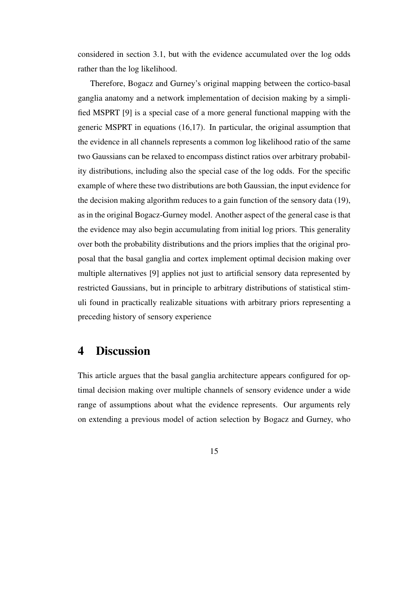considered in section 3.1, but with the evidence accumulated over the log odds rather than the log likelihood.

Therefore, Bogacz and Gurney's original mapping between the cortico-basal ganglia anatomy and a network implementation of decision making by a simplified MSPRT [9] is a special case of a more general functional mapping with the generic MSPRT in equations (16,17). In particular, the original assumption that the evidence in all channels represents a common log likelihood ratio of the same two Gaussians can be relaxed to encompass distinct ratios over arbitrary probability distributions, including also the special case of the log odds. For the specific example of where these two distributions are both Gaussian, the input evidence for the decision making algorithm reduces to a gain function of the sensory data (19), as in the original Bogacz-Gurney model. Another aspect of the general case is that the evidence may also begin accumulating from initial log priors. This generality over both the probability distributions and the priors implies that the original proposal that the basal ganglia and cortex implement optimal decision making over multiple alternatives [9] applies not just to artificial sensory data represented by restricted Gaussians, but in principle to arbitrary distributions of statistical stimuli found in practically realizable situations with arbitrary priors representing a preceding history of sensory experience

# 4 Discussion

This article argues that the basal ganglia architecture appears configured for optimal decision making over multiple channels of sensory evidence under a wide range of assumptions about what the evidence represents. Our arguments rely on extending a previous model of action selection by Bogacz and Gurney, who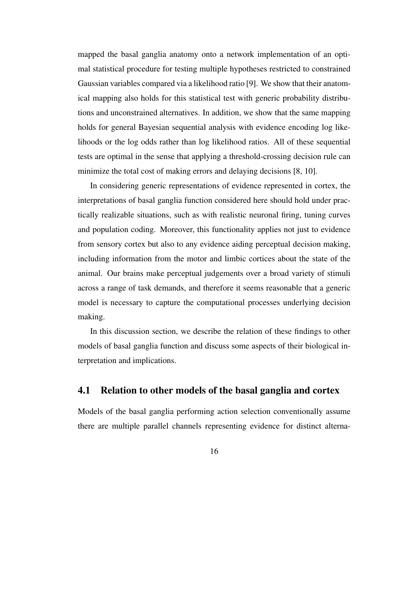mapped the basal ganglia anatomy onto a network implementation of an optimal statistical procedure for testing multiple hypotheses restricted to constrained Gaussian variables compared via a likelihood ratio [9]. We show that their anatomical mapping also holds for this statistical test with generic probability distributions and unconstrained alternatives. In addition, we show that the same mapping holds for general Bayesian sequential analysis with evidence encoding log likelihoods or the log odds rather than log likelihood ratios. All of these sequential tests are optimal in the sense that applying a threshold-crossing decision rule can minimize the total cost of making errors and delaying decisions [8, 10].

In considering generic representations of evidence represented in cortex, the interpretations of basal ganglia function considered here should hold under practically realizable situations, such as with realistic neuronal firing, tuning curves and population coding. Moreover, this functionality applies not just to evidence from sensory cortex but also to any evidence aiding perceptual decision making, including information from the motor and limbic cortices about the state of the animal. Our brains make perceptual judgements over a broad variety of stimuli across a range of task demands, and therefore it seems reasonable that a generic model is necessary to capture the computational processes underlying decision making.

In this discussion section, we describe the relation of these findings to other models of basal ganglia function and discuss some aspects of their biological interpretation and implications.

## 4.1 Relation to other models of the basal ganglia and cortex

Models of the basal ganglia performing action selection conventionally assume there are multiple parallel channels representing evidence for distinct alterna-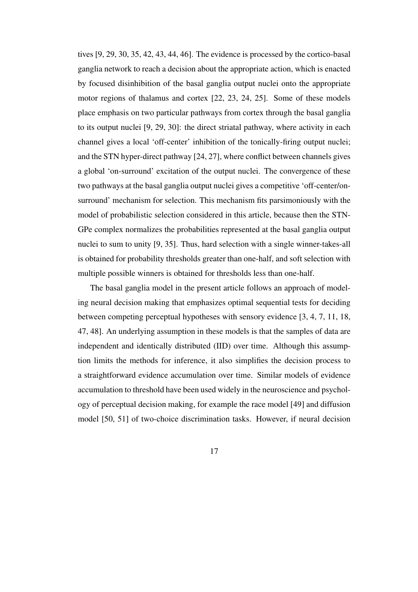tives [9, 29, 30, 35, 42, 43, 44, 46]. The evidence is processed by the cortico-basal ganglia network to reach a decision about the appropriate action, which is enacted by focused disinhibition of the basal ganglia output nuclei onto the appropriate motor regions of thalamus and cortex [22, 23, 24, 25]. Some of these models place emphasis on two particular pathways from cortex through the basal ganglia to its output nuclei [9, 29, 30]: the direct striatal pathway, where activity in each channel gives a local 'off-center' inhibition of the tonically-firing output nuclei; and the STN hyper-direct pathway [24, 27], where conflict between channels gives a global 'on-surround' excitation of the output nuclei. The convergence of these two pathways at the basal ganglia output nuclei gives a competitive 'off-center/onsurround' mechanism for selection. This mechanism fits parsimoniously with the model of probabilistic selection considered in this article, because then the STN-GPe complex normalizes the probabilities represented at the basal ganglia output nuclei to sum to unity [9, 35]. Thus, hard selection with a single winner-takes-all is obtained for probability thresholds greater than one-half, and soft selection with multiple possible winners is obtained for thresholds less than one-half.

The basal ganglia model in the present article follows an approach of modeling neural decision making that emphasizes optimal sequential tests for deciding between competing perceptual hypotheses with sensory evidence [3, 4, 7, 11, 18, 47, 48]. An underlying assumption in these models is that the samples of data are independent and identically distributed (IID) over time. Although this assumption limits the methods for inference, it also simplifies the decision process to a straightforward evidence accumulation over time. Similar models of evidence accumulation to threshold have been used widely in the neuroscience and psychology of perceptual decision making, for example the race model [49] and diffusion model [50, 51] of two-choice discrimination tasks. However, if neural decision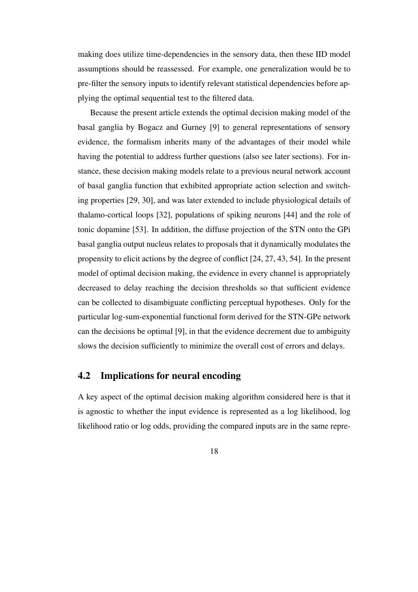making does utilize time-dependencies in the sensory data, then these IID model assumptions should be reassessed. For example, one generalization would be to pre-filter the sensory inputs to identify relevant statistical dependencies before applying the optimal sequential test to the filtered data.

Because the present article extends the optimal decision making model of the basal ganglia by Bogacz and Gurney [9] to general representations of sensory evidence, the formalism inherits many of the advantages of their model while having the potential to address further questions (also see later sections). For instance, these decision making models relate to a previous neural network account of basal ganglia function that exhibited appropriate action selection and switching properties [29, 30], and was later extended to include physiological details of thalamo-cortical loops [32], populations of spiking neurons [44] and the role of tonic dopamine [53]. In addition, the diffuse projection of the STN onto the GPi basal ganglia output nucleus relates to proposals that it dynamically modulates the propensity to elicit actions by the degree of conflict [24, 27, 43, 54]. In the present model of optimal decision making, the evidence in every channel is appropriately decreased to delay reaching the decision thresholds so that sufficient evidence can be collected to disambiguate conflicting perceptual hypotheses. Only for the particular log-sum-exponential functional form derived for the STN-GPe network can the decisions be optimal [9], in that the evidence decrement due to ambiguity slows the decision sufficiently to minimize the overall cost of errors and delays.

## 4.2 Implications for neural encoding

A key aspect of the optimal decision making algorithm considered here is that it is agnostic to whether the input evidence is represented as a log likelihood, log likelihood ratio or log odds, providing the compared inputs are in the same repre-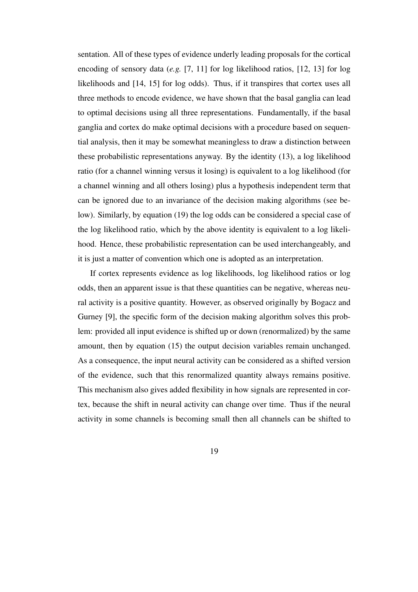sentation. All of these types of evidence underly leading proposals for the cortical encoding of sensory data (*e.g.* [7, 11] for log likelihood ratios, [12, 13] for log likelihoods and [14, 15] for log odds). Thus, if it transpires that cortex uses all three methods to encode evidence, we have shown that the basal ganglia can lead to optimal decisions using all three representations. Fundamentally, if the basal ganglia and cortex do make optimal decisions with a procedure based on sequential analysis, then it may be somewhat meaningless to draw a distinction between these probabilistic representations anyway. By the identity (13), a log likelihood ratio (for a channel winning versus it losing) is equivalent to a log likelihood (for a channel winning and all others losing) plus a hypothesis independent term that can be ignored due to an invariance of the decision making algorithms (see below). Similarly, by equation (19) the log odds can be considered a special case of the log likelihood ratio, which by the above identity is equivalent to a log likelihood. Hence, these probabilistic representation can be used interchangeably, and it is just a matter of convention which one is adopted as an interpretation.

If cortex represents evidence as log likelihoods, log likelihood ratios or log odds, then an apparent issue is that these quantities can be negative, whereas neural activity is a positive quantity. However, as observed originally by Bogacz and Gurney [9], the specific form of the decision making algorithm solves this problem: provided all input evidence is shifted up or down (renormalized) by the same amount, then by equation (15) the output decision variables remain unchanged. As a consequence, the input neural activity can be considered as a shifted version of the evidence, such that this renormalized quantity always remains positive. This mechanism also gives added flexibility in how signals are represented in cortex, because the shift in neural activity can change over time. Thus if the neural activity in some channels is becoming small then all channels can be shifted to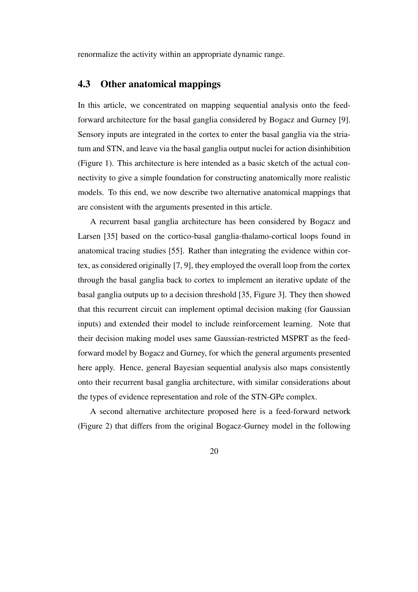renormalize the activity within an appropriate dynamic range.

# 4.3 Other anatomical mappings

In this article, we concentrated on mapping sequential analysis onto the feedforward architecture for the basal ganglia considered by Bogacz and Gurney [9]. Sensory inputs are integrated in the cortex to enter the basal ganglia via the striatum and STN, and leave via the basal ganglia output nuclei for action disinhibition (Figure 1). This architecture is here intended as a basic sketch of the actual connectivity to give a simple foundation for constructing anatomically more realistic models. To this end, we now describe two alternative anatomical mappings that are consistent with the arguments presented in this article.

A recurrent basal ganglia architecture has been considered by Bogacz and Larsen [35] based on the cortico-basal ganglia-thalamo-cortical loops found in anatomical tracing studies [55]. Rather than integrating the evidence within cortex, as considered originally [7, 9], they employed the overall loop from the cortex through the basal ganglia back to cortex to implement an iterative update of the basal ganglia outputs up to a decision threshold [35, Figure 3]. They then showed that this recurrent circuit can implement optimal decision making (for Gaussian inputs) and extended their model to include reinforcement learning. Note that their decision making model uses same Gaussian-restricted MSPRT as the feedforward model by Bogacz and Gurney, for which the general arguments presented here apply. Hence, general Bayesian sequential analysis also maps consistently onto their recurrent basal ganglia architecture, with similar considerations about the types of evidence representation and role of the STN-GPe complex.

A second alternative architecture proposed here is a feed-forward network (Figure 2) that differs from the original Bogacz-Gurney model in the following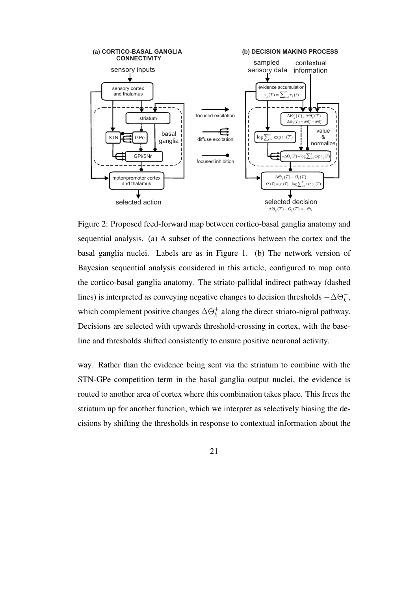

Figure 2: Proposed feed-forward map between cortico-basal ganglia anatomy and sequential analysis. (a) A subset of the connections between the cortex and the basal ganglia nuclei. Labels are as in Figure 1. (b) The network version of Bayesian sequential analysis considered in this article, configured to map onto the cortico-basal ganglia anatomy. The striato-pallidal indirect pathway (dashed lines) is interpreted as conveying negative changes to decision thresholds *−*∆Θ*<sup>−</sup> k* , which complement positive changes  $\Delta\Theta_k^+$  along the direct striato-nigral pathway. Decisions are selected with upwards threshold-crossing in cortex, with the baseline and thresholds shifted consistently to ensure positive neuronal activity.

way. Rather than the evidence being sent via the striatum to combine with the STN-GPe competition term in the basal ganglia output nuclei, the evidence is routed to another area of cortex where this combination takes place. This frees the striatum up for another function, which we interpret as selectively biasing the decisions by shifting the thresholds in response to contextual information about the

21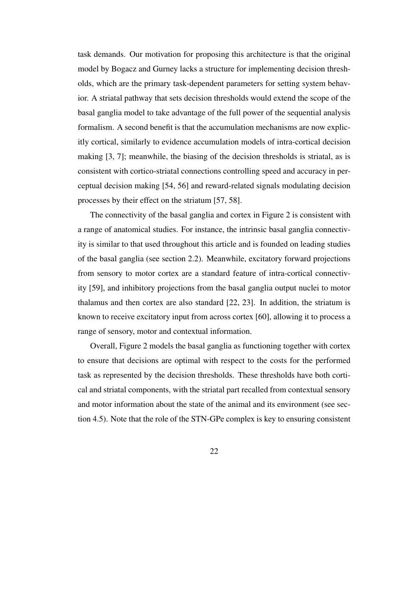task demands. Our motivation for proposing this architecture is that the original model by Bogacz and Gurney lacks a structure for implementing decision thresholds, which are the primary task-dependent parameters for setting system behavior. A striatal pathway that sets decision thresholds would extend the scope of the basal ganglia model to take advantage of the full power of the sequential analysis formalism. A second benefit is that the accumulation mechanisms are now explicitly cortical, similarly to evidence accumulation models of intra-cortical decision making [3, 7]; meanwhile, the biasing of the decision thresholds is striatal, as is consistent with cortico-striatal connections controlling speed and accuracy in perceptual decision making [54, 56] and reward-related signals modulating decision processes by their effect on the striatum [57, 58].

The connectivity of the basal ganglia and cortex in Figure 2 is consistent with a range of anatomical studies. For instance, the intrinsic basal ganglia connectivity is similar to that used throughout this article and is founded on leading studies of the basal ganglia (see section 2.2). Meanwhile, excitatory forward projections from sensory to motor cortex are a standard feature of intra-cortical connectivity [59], and inhibitory projections from the basal ganglia output nuclei to motor thalamus and then cortex are also standard [22, 23]. In addition, the striatum is known to receive excitatory input from across cortex [60], allowing it to process a range of sensory, motor and contextual information.

Overall, Figure 2 models the basal ganglia as functioning together with cortex to ensure that decisions are optimal with respect to the costs for the performed task as represented by the decision thresholds. These thresholds have both cortical and striatal components, with the striatal part recalled from contextual sensory and motor information about the state of the animal and its environment (see section 4.5). Note that the role of the STN-GPe complex is key to ensuring consistent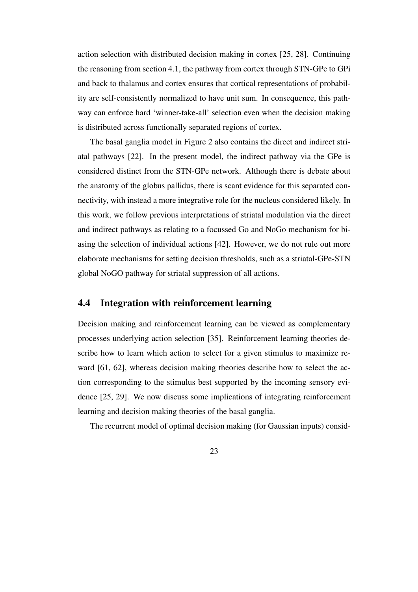action selection with distributed decision making in cortex [25, 28]. Continuing the reasoning from section 4.1, the pathway from cortex through STN-GPe to GPi and back to thalamus and cortex ensures that cortical representations of probability are self-consistently normalized to have unit sum. In consequence, this pathway can enforce hard 'winner-take-all' selection even when the decision making is distributed across functionally separated regions of cortex.

The basal ganglia model in Figure 2 also contains the direct and indirect striatal pathways [22]. In the present model, the indirect pathway via the GPe is considered distinct from the STN-GPe network. Although there is debate about the anatomy of the globus pallidus, there is scant evidence for this separated connectivity, with instead a more integrative role for the nucleus considered likely. In this work, we follow previous interpretations of striatal modulation via the direct and indirect pathways as relating to a focussed Go and NoGo mechanism for biasing the selection of individual actions [42]. However, we do not rule out more elaborate mechanisms for setting decision thresholds, such as a striatal-GPe-STN global NoGO pathway for striatal suppression of all actions.

## 4.4 Integration with reinforcement learning

Decision making and reinforcement learning can be viewed as complementary processes underlying action selection [35]. Reinforcement learning theories describe how to learn which action to select for a given stimulus to maximize reward [61, 62], whereas decision making theories describe how to select the action corresponding to the stimulus best supported by the incoming sensory evidence [25, 29]. We now discuss some implications of integrating reinforcement learning and decision making theories of the basal ganglia.

The recurrent model of optimal decision making (for Gaussian inputs) consid-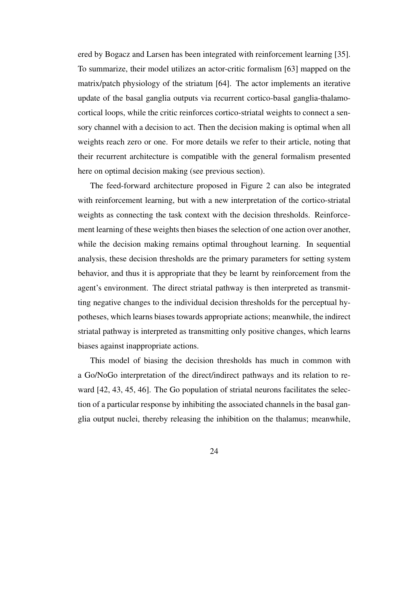ered by Bogacz and Larsen has been integrated with reinforcement learning [35]. To summarize, their model utilizes an actor-critic formalism [63] mapped on the matrix/patch physiology of the striatum [64]. The actor implements an iterative update of the basal ganglia outputs via recurrent cortico-basal ganglia-thalamocortical loops, while the critic reinforces cortico-striatal weights to connect a sensory channel with a decision to act. Then the decision making is optimal when all weights reach zero or one. For more details we refer to their article, noting that their recurrent architecture is compatible with the general formalism presented here on optimal decision making (see previous section).

The feed-forward architecture proposed in Figure 2 can also be integrated with reinforcement learning, but with a new interpretation of the cortico-striatal weights as connecting the task context with the decision thresholds. Reinforcement learning of these weights then biases the selection of one action over another, while the decision making remains optimal throughout learning. In sequential analysis, these decision thresholds are the primary parameters for setting system behavior, and thus it is appropriate that they be learnt by reinforcement from the agent's environment. The direct striatal pathway is then interpreted as transmitting negative changes to the individual decision thresholds for the perceptual hypotheses, which learns biases towards appropriate actions; meanwhile, the indirect striatal pathway is interpreted as transmitting only positive changes, which learns biases against inappropriate actions.

This model of biasing the decision thresholds has much in common with a Go/NoGo interpretation of the direct/indirect pathways and its relation to reward [42, 43, 45, 46]. The Go population of striatal neurons facilitates the selection of a particular response by inhibiting the associated channels in the basal ganglia output nuclei, thereby releasing the inhibition on the thalamus; meanwhile,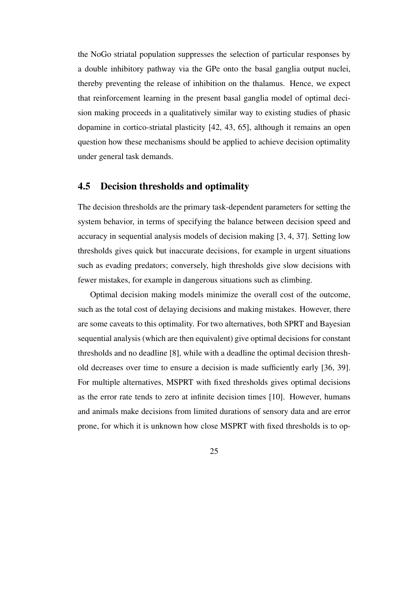the NoGo striatal population suppresses the selection of particular responses by a double inhibitory pathway via the GPe onto the basal ganglia output nuclei, thereby preventing the release of inhibition on the thalamus. Hence, we expect that reinforcement learning in the present basal ganglia model of optimal decision making proceeds in a qualitatively similar way to existing studies of phasic dopamine in cortico-striatal plasticity [42, 43, 65], although it remains an open question how these mechanisms should be applied to achieve decision optimality under general task demands.

## 4.5 Decision thresholds and optimality

The decision thresholds are the primary task-dependent parameters for setting the system behavior, in terms of specifying the balance between decision speed and accuracy in sequential analysis models of decision making [3, 4, 37]. Setting low thresholds gives quick but inaccurate decisions, for example in urgent situations such as evading predators; conversely, high thresholds give slow decisions with fewer mistakes, for example in dangerous situations such as climbing.

Optimal decision making models minimize the overall cost of the outcome, such as the total cost of delaying decisions and making mistakes. However, there are some caveats to this optimality. For two alternatives, both SPRT and Bayesian sequential analysis (which are then equivalent) give optimal decisions for constant thresholds and no deadline [8], while with a deadline the optimal decision threshold decreases over time to ensure a decision is made sufficiently early [36, 39]. For multiple alternatives, MSPRT with fixed thresholds gives optimal decisions as the error rate tends to zero at infinite decision times [10]. However, humans and animals make decisions from limited durations of sensory data and are error prone, for which it is unknown how close MSPRT with fixed thresholds is to op-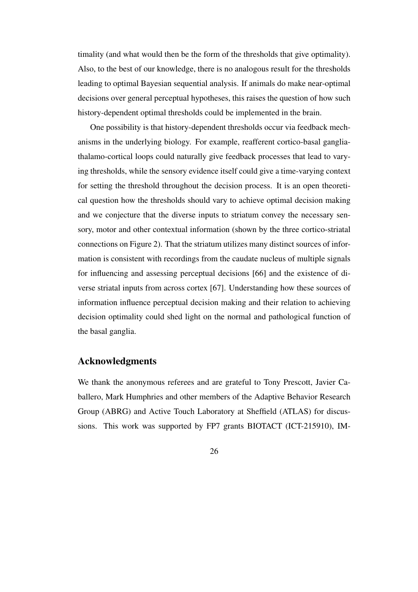timality (and what would then be the form of the thresholds that give optimality). Also, to the best of our knowledge, there is no analogous result for the thresholds leading to optimal Bayesian sequential analysis. If animals do make near-optimal decisions over general perceptual hypotheses, this raises the question of how such history-dependent optimal thresholds could be implemented in the brain.

One possibility is that history-dependent thresholds occur via feedback mechanisms in the underlying biology. For example, reafferent cortico-basal gangliathalamo-cortical loops could naturally give feedback processes that lead to varying thresholds, while the sensory evidence itself could give a time-varying context for setting the threshold throughout the decision process. It is an open theoretical question how the thresholds should vary to achieve optimal decision making and we conjecture that the diverse inputs to striatum convey the necessary sensory, motor and other contextual information (shown by the three cortico-striatal connections on Figure 2). That the striatum utilizes many distinct sources of information is consistent with recordings from the caudate nucleus of multiple signals for influencing and assessing perceptual decisions [66] and the existence of diverse striatal inputs from across cortex [67]. Understanding how these sources of information influence perceptual decision making and their relation to achieving decision optimality could shed light on the normal and pathological function of the basal ganglia.

#### Acknowledgments

We thank the anonymous referees and are grateful to Tony Prescott, Javier Caballero, Mark Humphries and other members of the Adaptive Behavior Research Group (ABRG) and Active Touch Laboratory at Sheffield (ATLAS) for discussions. This work was supported by FP7 grants BIOTACT (ICT-215910), IM-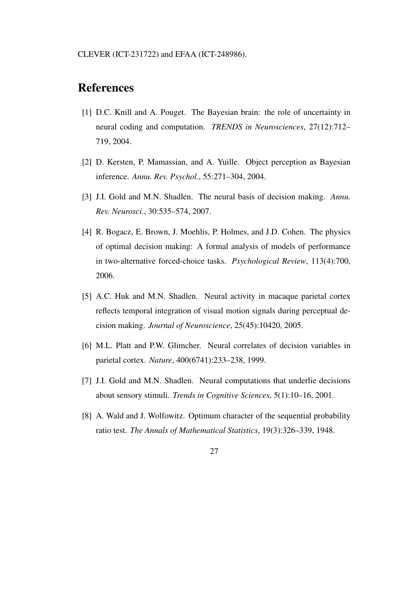# References

- [1] D.C. Knill and A. Pouget. The Bayesian brain: the role of uncertainty in neural coding and computation. *TRENDS in Neurosciences*, 27(12):712– 719, 2004.
- [2] D. Kersten, P. Mamassian, and A. Yuille. Object perception as Bayesian inference. *Annu. Rev. Psychol.*, 55:271–304, 2004.
- [3] J.I. Gold and M.N. Shadlen. The neural basis of decision making. *Annu. Rev. Neurosci.*, 30:535–574, 2007.
- [4] R. Bogacz, E. Brown, J. Moehlis, P. Holmes, and J.D. Cohen. The physics of optimal decision making: A formal analysis of models of performance in two-alternative forced-choice tasks. *Psychological Review*, 113(4):700, 2006.
- [5] A.C. Huk and M.N. Shadlen. Neural activity in macaque parietal cortex reflects temporal integration of visual motion signals during perceptual decision making. *Journal of Neuroscience*, 25(45):10420, 2005.
- [6] M.L. Platt and P.W. Glimcher. Neural correlates of decision variables in parietal cortex. *Nature*, 400(6741):233–238, 1999.
- [7] J.I. Gold and M.N. Shadlen. Neural computations that underlie decisions about sensory stimuli. *Trends in Cognitive Sciences*, 5(1):10–16, 2001.
- [8] A. Wald and J. Wolfowitz. Optimum character of the sequential probability ratio test. *The Annals of Mathematical Statistics*, 19(3):326–339, 1948.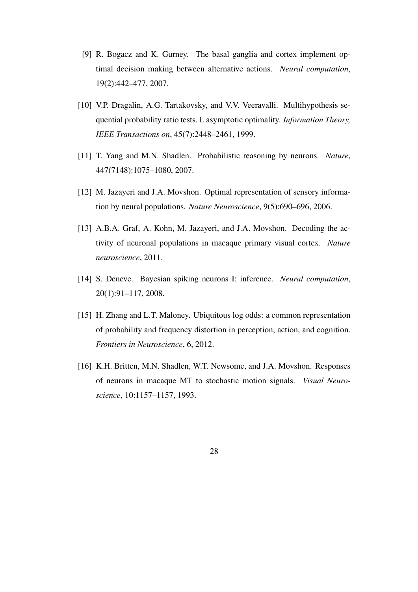- [9] R. Bogacz and K. Gurney. The basal ganglia and cortex implement optimal decision making between alternative actions. *Neural computation*, 19(2):442–477, 2007.
- [10] V.P. Dragalin, A.G. Tartakovsky, and V.V. Veeravalli. Multihypothesis sequential probability ratio tests. I. asymptotic optimality. *Information Theory, IEEE Transactions on*, 45(7):2448–2461, 1999.
- [11] T. Yang and M.N. Shadlen. Probabilistic reasoning by neurons. *Nature*, 447(7148):1075–1080, 2007.
- [12] M. Jazayeri and J.A. Movshon. Optimal representation of sensory information by neural populations. *Nature Neuroscience*, 9(5):690–696, 2006.
- [13] A.B.A. Graf, A. Kohn, M. Jazayeri, and J.A. Movshon. Decoding the activity of neuronal populations in macaque primary visual cortex. *Nature neuroscience*, 2011.
- [14] S. Deneve. Bayesian spiking neurons I: inference. *Neural computation*, 20(1):91–117, 2008.
- [15] H. Zhang and L.T. Maloney. Ubiquitous log odds: a common representation of probability and frequency distortion in perception, action, and cognition. *Frontiers in Neuroscience*, 6, 2012.
- [16] K.H. Britten, M.N. Shadlen, W.T. Newsome, and J.A. Movshon. Responses of neurons in macaque MT to stochastic motion signals. *Visual Neuroscience*, 10:1157–1157, 1993.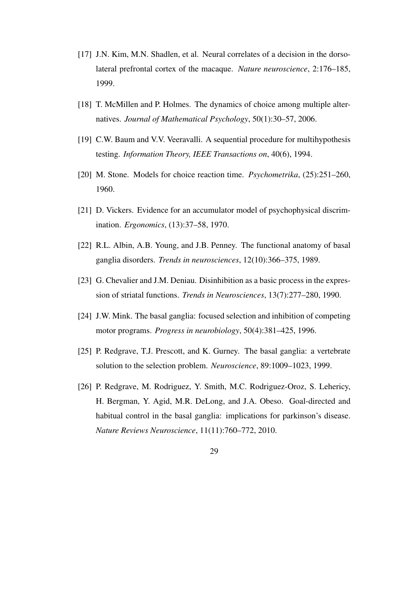- [17] J.N. Kim, M.N. Shadlen, et al. Neural correlates of a decision in the dorsolateral prefrontal cortex of the macaque. *Nature neuroscience*, 2:176–185, 1999.
- [18] T. McMillen and P. Holmes. The dynamics of choice among multiple alternatives. *Journal of Mathematical Psychology*, 50(1):30–57, 2006.
- [19] C.W. Baum and V.V. Veeravalli. A sequential procedure for multihypothesis testing. *Information Theory, IEEE Transactions on*, 40(6), 1994.
- [20] M. Stone. Models for choice reaction time. *Psychometrika*, (25):251–260, 1960.
- [21] D. Vickers. Evidence for an accumulator model of psychophysical discrimination. *Ergonomics*, (13):37–58, 1970.
- [22] R.L. Albin, A.B. Young, and J.B. Penney. The functional anatomy of basal ganglia disorders. *Trends in neurosciences*, 12(10):366–375, 1989.
- [23] G. Chevalier and J.M. Deniau. Disinhibition as a basic process in the expression of striatal functions. *Trends in Neurosciences*, 13(7):277–280, 1990.
- [24] J.W. Mink. The basal ganglia: focused selection and inhibition of competing motor programs. *Progress in neurobiology*, 50(4):381–425, 1996.
- [25] P. Redgrave, T.J. Prescott, and K. Gurney. The basal ganglia: a vertebrate solution to the selection problem. *Neuroscience*, 89:1009–1023, 1999.
- [26] P. Redgrave, M. Rodriguez, Y. Smith, M.C. Rodriguez-Oroz, S. Lehericy, H. Bergman, Y. Agid, M.R. DeLong, and J.A. Obeso. Goal-directed and habitual control in the basal ganglia: implications for parkinson's disease. *Nature Reviews Neuroscience*, 11(11):760–772, 2010.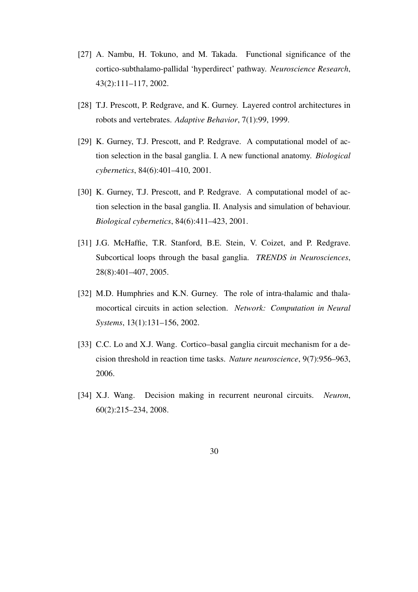- [27] A. Nambu, H. Tokuno, and M. Takada. Functional significance of the cortico-subthalamo-pallidal 'hyperdirect' pathway. *Neuroscience Research*, 43(2):111–117, 2002.
- [28] T.J. Prescott, P. Redgrave, and K. Gurney. Layered control architectures in robots and vertebrates. *Adaptive Behavior*, 7(1):99, 1999.
- [29] K. Gurney, T.J. Prescott, and P. Redgrave. A computational model of action selection in the basal ganglia. I. A new functional anatomy. *Biological cybernetics*, 84(6):401–410, 2001.
- [30] K. Gurney, T.J. Prescott, and P. Redgrave. A computational model of action selection in the basal ganglia. II. Analysis and simulation of behaviour. *Biological cybernetics*, 84(6):411–423, 2001.
- [31] J.G. McHaffie, T.R. Stanford, B.E. Stein, V. Coizet, and P. Redgrave. Subcortical loops through the basal ganglia. *TRENDS in Neurosciences*, 28(8):401–407, 2005.
- [32] M.D. Humphries and K.N. Gurney. The role of intra-thalamic and thalamocortical circuits in action selection. *Network: Computation in Neural Systems*, 13(1):131–156, 2002.
- [33] C.C. Lo and X.J. Wang. Cortico–basal ganglia circuit mechanism for a decision threshold in reaction time tasks. *Nature neuroscience*, 9(7):956–963, 2006.
- [34] X.J. Wang. Decision making in recurrent neuronal circuits. *Neuron*, 60(2):215–234, 2008.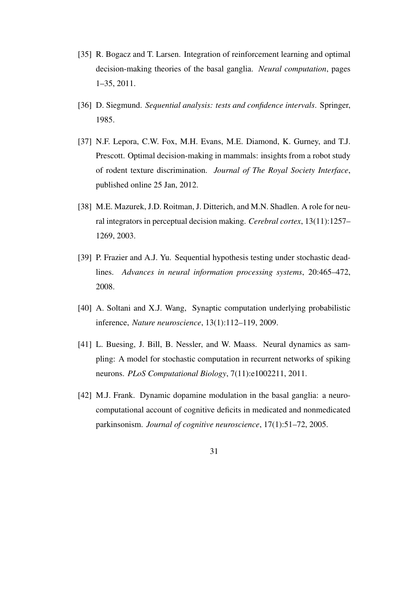- [35] R. Bogacz and T. Larsen. Integration of reinforcement learning and optimal decision-making theories of the basal ganglia. *Neural computation*, pages 1–35, 2011.
- [36] D. Siegmund. *Sequential analysis: tests and confidence intervals*. Springer, 1985.
- [37] N.F. Lepora, C.W. Fox, M.H. Evans, M.E. Diamond, K. Gurney, and T.J. Prescott. Optimal decision-making in mammals: insights from a robot study of rodent texture discrimination. *Journal of The Royal Society Interface*, published online 25 Jan, 2012.
- [38] M.E. Mazurek, J.D. Roitman, J. Ditterich, and M.N. Shadlen. A role for neural integrators in perceptual decision making. *Cerebral cortex*, 13(11):1257– 1269, 2003.
- [39] P. Frazier and A.J. Yu. Sequential hypothesis testing under stochastic deadlines. *Advances in neural information processing systems*, 20:465–472, 2008.
- [40] A. Soltani and X.J. Wang, Synaptic computation underlying probabilistic inference, *Nature neuroscience*, 13(1):112–119, 2009.
- [41] L. Buesing, J. Bill, B. Nessler, and W. Maass. Neural dynamics as sampling: A model for stochastic computation in recurrent networks of spiking neurons. *PLoS Computational Biology*, 7(11):e1002211, 2011.
- [42] M.J. Frank. Dynamic dopamine modulation in the basal ganglia: a neurocomputational account of cognitive deficits in medicated and nonmedicated parkinsonism. *Journal of cognitive neuroscience*, 17(1):51–72, 2005.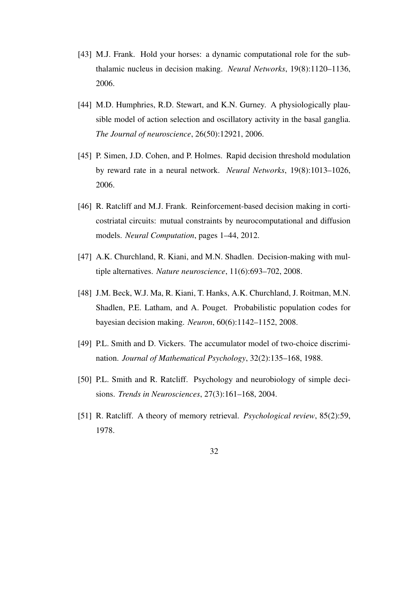- [43] M.J. Frank. Hold your horses: a dynamic computational role for the subthalamic nucleus in decision making. *Neural Networks*, 19(8):1120–1136, 2006.
- [44] M.D. Humphries, R.D. Stewart, and K.N. Gurney. A physiologically plausible model of action selection and oscillatory activity in the basal ganglia. *The Journal of neuroscience*, 26(50):12921, 2006.
- [45] P. Simen, J.D. Cohen, and P. Holmes. Rapid decision threshold modulation by reward rate in a neural network. *Neural Networks*, 19(8):1013–1026, 2006.
- [46] R. Ratcliff and M.J. Frank. Reinforcement-based decision making in corticostriatal circuits: mutual constraints by neurocomputational and diffusion models. *Neural Computation*, pages 1–44, 2012.
- [47] A.K. Churchland, R. Kiani, and M.N. Shadlen. Decision-making with multiple alternatives. *Nature neuroscience*, 11(6):693–702, 2008.
- [48] J.M. Beck, W.J. Ma, R. Kiani, T. Hanks, A.K. Churchland, J. Roitman, M.N. Shadlen, P.E. Latham, and A. Pouget. Probabilistic population codes for bayesian decision making. *Neuron*, 60(6):1142–1152, 2008.
- [49] P.L. Smith and D. Vickers. The accumulator model of two-choice discrimination. *Journal of Mathematical Psychology*, 32(2):135–168, 1988.
- [50] P.L. Smith and R. Ratcliff. Psychology and neurobiology of simple deci-sions. *Trends in Neurosciences*, 27(3):161–168, 2004.
- [51] R. Ratcliff. A theory of memory retrieval. *Psychological review*, 85(2):59, 1978.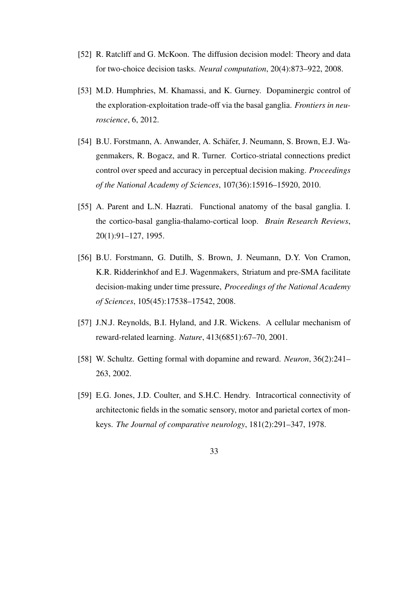- [52] R. Ratcliff and G. McKoon. The diffusion decision model: Theory and data for two-choice decision tasks. *Neural computation*, 20(4):873–922, 2008.
- [53] M.D. Humphries, M. Khamassi, and K. Gurney. Dopaminergic control of the exploration-exploitation trade-off via the basal ganglia. *Frontiers in neuroscience*, 6, 2012.
- [54] B.U. Forstmann, A. Anwander, A. Schafer, J. Neumann, S. Brown, E.J. Wa- ¨ genmakers, R. Bogacz, and R. Turner. Cortico-striatal connections predict control over speed and accuracy in perceptual decision making. *Proceedings of the National Academy of Sciences*, 107(36):15916–15920, 2010.
- [55] A. Parent and L.N. Hazrati. Functional anatomy of the basal ganglia. I. the cortico-basal ganglia-thalamo-cortical loop. *Brain Research Reviews*, 20(1):91–127, 1995.
- [56] B.U. Forstmann, G. Dutilh, S. Brown, J. Neumann, D.Y. Von Cramon, K.R. Ridderinkhof and E.J. Wagenmakers, Striatum and pre-SMA facilitate decision-making under time pressure, *Proceedings of the National Academy of Sciences*, 105(45):17538–17542, 2008.
- [57] J.N.J. Reynolds, B.I. Hyland, and J.R. Wickens. A cellular mechanism of reward-related learning. *Nature*, 413(6851):67–70, 2001.
- [58] W. Schultz. Getting formal with dopamine and reward. *Neuron*, 36(2):241– 263, 2002.
- [59] E.G. Jones, J.D. Coulter, and S.H.C. Hendry. Intracortical connectivity of architectonic fields in the somatic sensory, motor and parietal cortex of monkeys. *The Journal of comparative neurology*, 181(2):291–347, 1978.